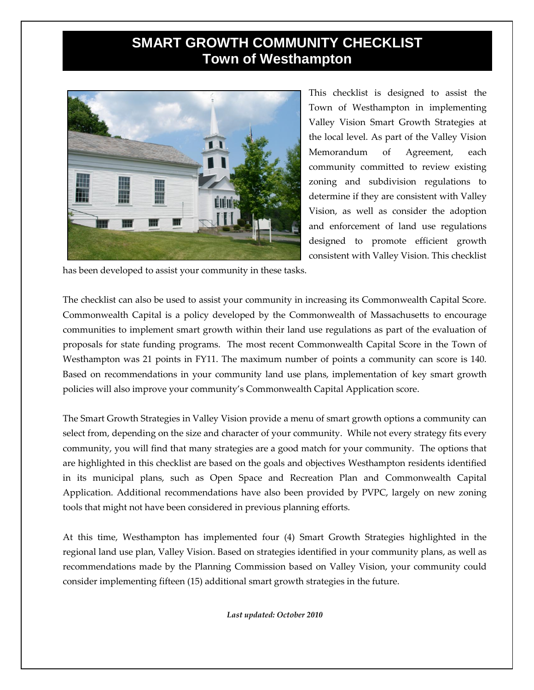## **SMART GROWTH COMMUNITY CHECKLIST Town of Westhampton**



This checklist is designed to assist the Town of Westhampton in implementing Valley Vision Smart Growth Strategies at the local level. As part of the Valley Vision Memorandum of Agreement, each community committed to review existing zoning and subdivision regulations to determine if they are consistent with Valley Vision, as well as consider the adoption and enforcement of land use regulations designed to promote efficient growth consistent with Valley Vision. This checklist

has been developed to assist your community in these tasks.

The checklist can also be used to assist your community in increasing its Commonwealth Capital Score. Commonwealth Capital is a policy developed by the Commonwealth of Massachusetts to encourage communities to implement smart growth within their land use regulations as part of the evaluation of proposals for state funding programs. The most recent Commonwealth Capital Score in the Town of Westhampton was 21 points in FY11. The maximum number of points a community can score is 140. Based on recommendations in your community land use plans, implementation of key smart growth policies will also improve your community's Commonwealth Capital Application score.

The Smart Growth Strategies in Valley Vision provide a menu of smart growth options a community can select from, depending on the size and character of your community. While not every strategy fits every community, you will find that many strategies are a good match for your community. The options that are highlighted in this checklist are based on the goals and objectives Westhampton residents identified in its municipal plans, such as Open Space and Recreation Plan and Commonwealth Capital Application. Additional recommendations have also been provided by PVPC, largely on new zoning tools that might not have been considered in previous planning efforts.

At this time, Westhampton has implemented four (4) Smart Growth Strategies highlighted in the regional land use plan, Valley Vision. Based on strategies identified in your community plans, as well as recommendations made by the Planning Commission based on Valley Vision, your community could consider implementing fifteen (15) additional smart growth strategies in the future.

*Last updated: October 2010*